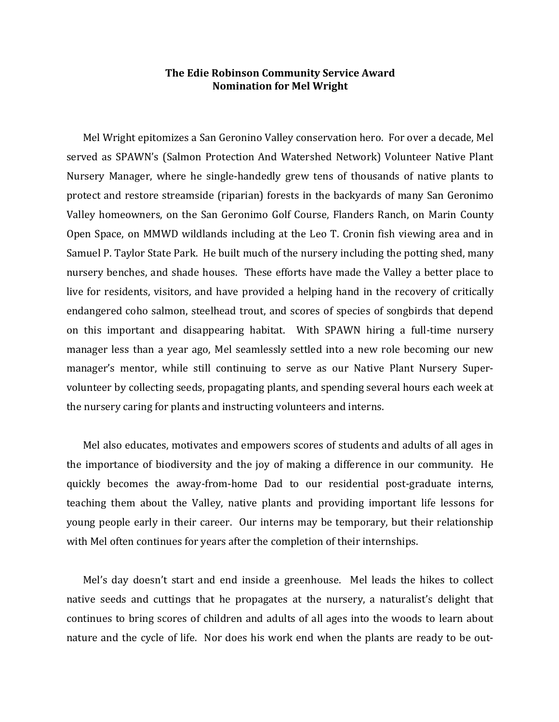## **The Edie Robinson Community Service Award Nomination for Mel Wright**

Mel Wright epitomizes a San Geronino Valley conservation hero. For over a decade, Mel served as SPAWN's (Salmon Protection And Watershed Network) Volunteer Native Plant Nursery Manager, where he single-handedly grew tens of thousands of native plants to protect and restore streamside (riparian) forests in the backyards of many San Geronimo Valley homeowners, on the San Geronimo Golf Course, Flanders Ranch, on Marin County Open Space, on MMWD wildlands including at the Leo T. Cronin fish viewing area and in Samuel P. Taylor State Park. He built much of the nursery including the potting shed, many nursery benches, and shade houses. These efforts have made the Valley a better place to live for residents, visitors, and have provided a helping hand in the recovery of critically endangered coho salmon, steelhead trout, and scores of species of songbirds that depend on this important and disappearing habitat. With SPAWN hiring a full-time nursery manager less than a year ago, Mel seamlessly settled into a new role becoming our new manager's mentor, while still continuing to serve as our Native Plant Nursery Supervolunteer by collecting seeds, propagating plants, and spending several hours each week at the nursery caring for plants and instructing volunteers and interns.

Mel also educates, motivates and empowers scores of students and adults of all ages in the importance of biodiversity and the joy of making a difference in our community. He quickly becomes the away-from-home Dad to our residential post-graduate interns, teaching them about the Valley, native plants and providing important life lessons for young people early in their career. Our interns may be temporary, but their relationship with Mel often continues for years after the completion of their internships.

Mel's day doesn't start and end inside a greenhouse. Mel leads the hikes to collect native seeds and cuttings that he propagates at the nursery, a naturalist's delight that continues to bring scores of children and adults of all ages into the woods to learn about nature and the cycle of life. Nor does his work end when the plants are ready to be out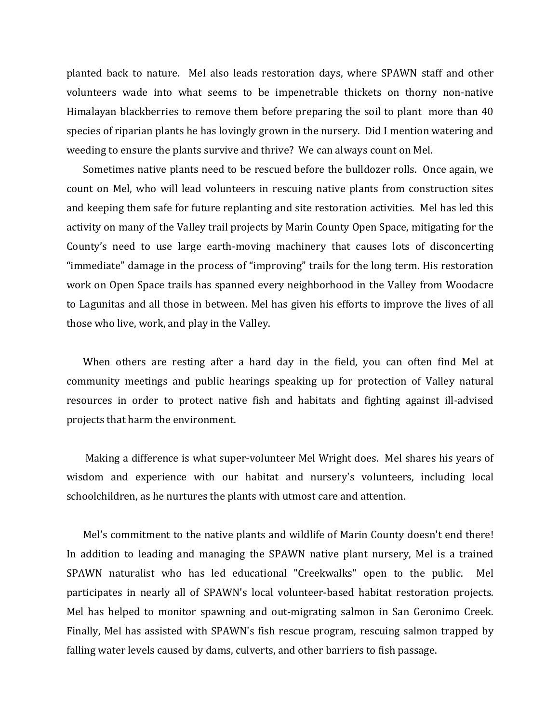planted back to nature. Mel also leads restoration days, where SPAWN staff and other volunteers wade into what seems to be impenetrable thickets on thorny non-native Himalayan blackberries to remove them before preparing the soil to plant more than 40 species of riparian plants he has lovingly grown in the nursery. Did I mention watering and weeding to ensure the plants survive and thrive? We can always count on Mel.

Sometimes native plants need to be rescued before the bulldozer rolls. Once again, we count on Mel, who will lead volunteers in rescuing native plants from construction sites and keeping them safe for future replanting and site restoration activities. Mel has led this activity on many of the Valley trail projects by Marin County Open Space, mitigating for the County's need to use large earth-moving machinery that causes lots of disconcerting "immediate" damage in the process of "improving" trails for the long term. His restoration work on Open Space trails has spanned every neighborhood in the Valley from Woodacre to Lagunitas and all those in between. Mel has given his efforts to improve the lives of all those who live, work, and play in the Valley.

When others are resting after a hard day in the field, you can often find Mel at community meetings and public hearings speaking up for protection of Valley natural resources in order to protect native fish and habitats and fighting against ill-advised projects that harm the environment.

Making a difference is what super-volunteer Mel Wright does. Mel shares his years of wisdom and experience with our habitat and nursery's volunteers, including local schoolchildren, as he nurtures the plants with utmost care and attention.

Mel's commitment to the native plants and wildlife of Marin County doesn't end there! In addition to leading and managing the SPAWN native plant nursery, Mel is a trained SPAWN naturalist who has led educational "Creekwalks" open to the public. Mel participates in nearly all of SPAWN's local volunteer-based habitat restoration projects. Mel has helped to monitor spawning and out-migrating salmon in San Geronimo Creek. Finally, Mel has assisted with SPAWN's fish rescue program, rescuing salmon trapped by falling water levels caused by dams, culverts, and other barriers to fish passage.